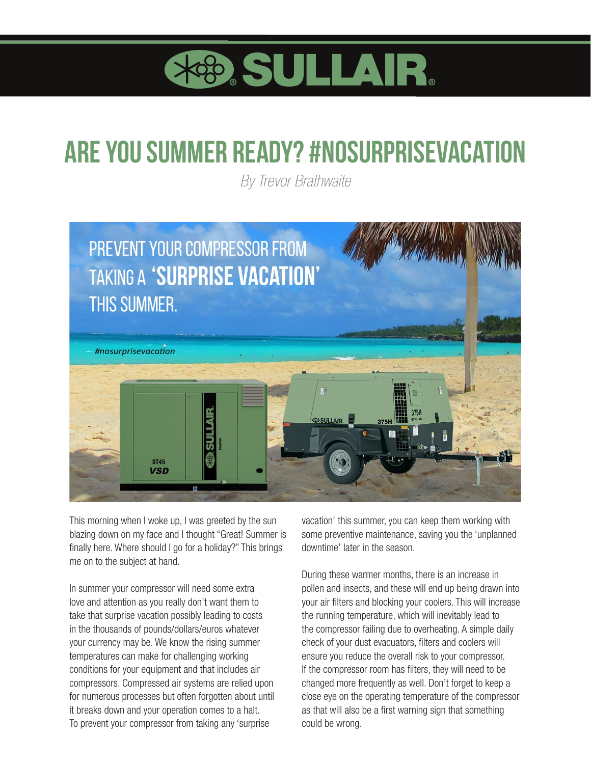

## **Are you summer ready? #nosurprisevacation**

*By Trevor Brathwaite*



This morning when I woke up, I was greeted by the sun blazing down on my face and I thought "Great! Summer is finally here. Where should I go for a holiday?" This brings me on to the subject at hand.

In summer your compressor will need some extra love and attention as you really don't want them to take that surprise vacation possibly leading to costs in the thousands of pounds/dollars/euros whatever your currency may be. We know the rising summer temperatures can make for challenging working conditions for your equipment and that includes air compressors. Compressed air systems are relied upon for numerous processes but often forgotten about until it breaks down and your operation comes to a halt. To prevent your compressor from taking any 'surprise

vacation' this summer, you can keep them working with some preventive maintenance, saving you the 'unplanned downtime' later in the season.

During these warmer months, there is an increase in pollen and insects, and these will end up being drawn into your air filters and blocking your coolers. This will increase the running temperature, which will inevitably lead to the compressor failing due to overheating. A simple daily check of your dust evacuators, filters and coolers will ensure you reduce the overall risk to your compressor. If the compressor room has filters, they will need to be changed more frequently as well. Don't forget to keep a close eye on the operating temperature of the compressor as that will also be a first warning sign that something could be wrong.